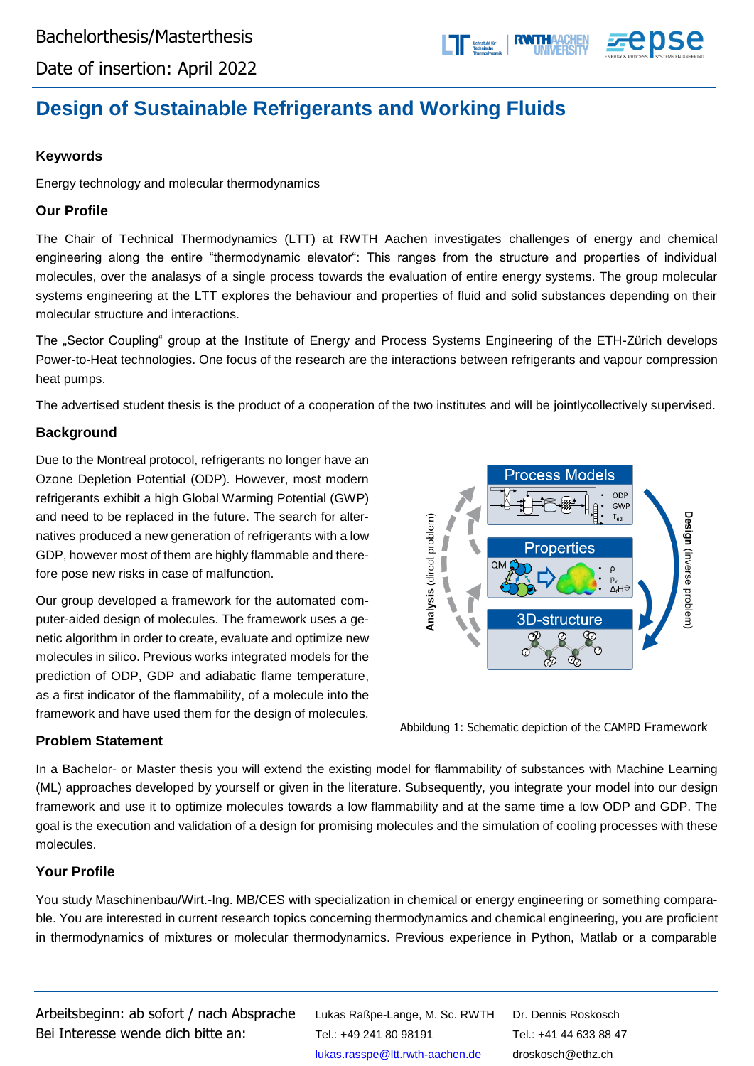

Date of insertion: April 2022

# **Design of Sustainable Refrigerants and Working Fluids**

### **Keywords**

Energy technology and molecular thermodynamics

#### **Our Profile**

The Chair of Technical Thermodynamics (LTT) at RWTH Aachen investigates challenges of energy and chemical engineering along the entire "thermodynamic elevator": This ranges from the structure and properties of individual molecules, over the analasys of a single process towards the evaluation of entire energy systems. The group molecular systems engineering at the LTT explores the behaviour and properties of fluid and solid substances depending on their molecular structure and interactions.

The "Sector Coupling" group at the Institute of Energy and Process Systems Engineering of the ETH-Zürich develops Power-to-Heat technologies. One focus of the research are the interactions between refrigerants and vapour compression heat pumps.

The advertised student thesis is the product of a cooperation of the two institutes and will be jointlycollectively supervised.

#### **Background**

Due to the Montreal protocol, refrigerants no longer have an Ozone Depletion Potential (ODP). However, most modern refrigerants exhibit a high Global Warming Potential (GWP) and need to be replaced in the future. The search for alternatives produced a new generation of refrigerants with a low GDP, however most of them are highly flammable and therefore pose new risks in case of malfunction.

Our group developed a framework for the automated computer-aided design of molecules. The framework uses a genetic algorithm in order to create, evaluate and optimize new molecules in silico. Previous works integrated models for the prediction of ODP, GDP and adiabatic flame temperature, as a first indicator of the flammability, of a molecule into the framework and have used them for the design of molecules.



Abbildung 1: Schematic depiction of the CAMPD Framework

#### **Problem Statement**

In a Bachelor- or Master thesis you will extend the existing model for flammability of substances with Machine Learning (ML) approaches developed by yourself or given in the literature. Subsequently, you integrate your model into our design framework and use it to optimize molecules towards a low flammability and at the same time a low ODP and GDP. The goal is the execution and validation of a design for promising molecules and the simulation of cooling processes with these molecules.

#### **Your Profile**

You study Maschinenbau/Wirt.-Ing. MB/CES with specialization in chemical or energy engineering or something comparable. You are interested in current research topics concerning thermodynamics and chemical engineering, you are proficient in thermodynamics of mixtures or molecular thermodynamics. Previous experience in Python, Matlab or a comparable

Arbeitsbeginn: ab sofort / nach Absprache Bei Interesse wende dich bitte an:

Lukas Raßpe-Lange, M. Sc. RWTH Tel.: +49 241 80 98191 [lukas.rasspe@ltt.rwth-aachen.de](mailto:lukas.rasspe@ltt.rwth-aachen.de)

Dr. Dennis Roskosch Tel.: +41 44 633 88 47 droskosch@ethz.ch